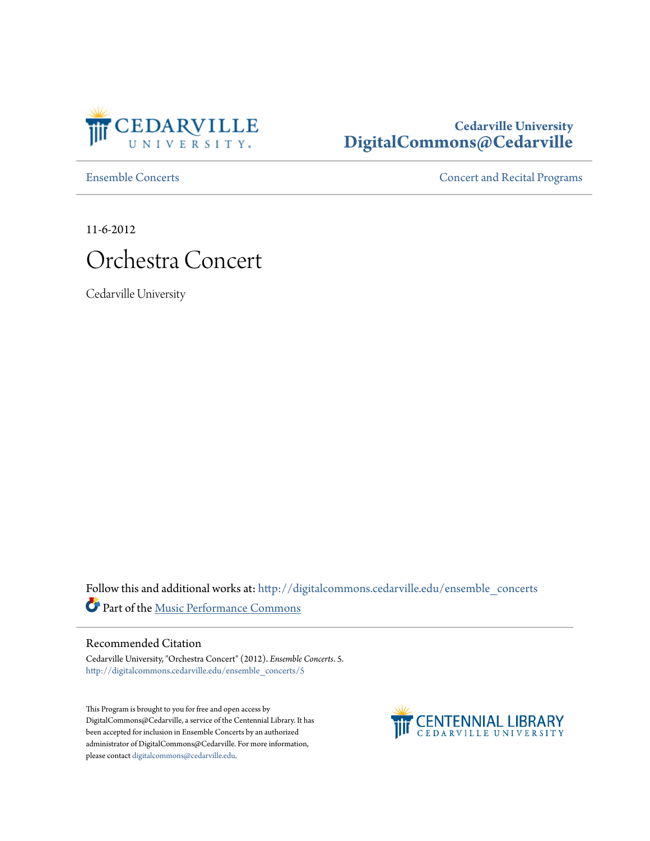

# **Cedarville University [DigitalCommons@Cedarville](http://digitalcommons.cedarville.edu?utm_source=digitalcommons.cedarville.edu%2Fensemble_concerts%2F5&utm_medium=PDF&utm_campaign=PDFCoverPages)**

[Ensemble Concerts](http://digitalcommons.cedarville.edu/ensemble_concerts?utm_source=digitalcommons.cedarville.edu%2Fensemble_concerts%2F5&utm_medium=PDF&utm_campaign=PDFCoverPages) **Concerts** [Concert and Recital Programs](http://digitalcommons.cedarville.edu/concert_and_recital_programs?utm_source=digitalcommons.cedarville.edu%2Fensemble_concerts%2F5&utm_medium=PDF&utm_campaign=PDFCoverPages)

11-6-2012



Cedarville University

Follow this and additional works at: [http://digitalcommons.cedarville.edu/ensemble\\_concerts](http://digitalcommons.cedarville.edu/ensemble_concerts?utm_source=digitalcommons.cedarville.edu%2Fensemble_concerts%2F5&utm_medium=PDF&utm_campaign=PDFCoverPages) Part of the [Music Performance Commons](http://network.bepress.com/hgg/discipline/1128?utm_source=digitalcommons.cedarville.edu%2Fensemble_concerts%2F5&utm_medium=PDF&utm_campaign=PDFCoverPages)

# Recommended Citation

Cedarville University, "Orchestra Concert" (2012). *Ensemble Concerts*. 5. [http://digitalcommons.cedarville.edu/ensemble\\_concerts/5](http://digitalcommons.cedarville.edu/ensemble_concerts/5?utm_source=digitalcommons.cedarville.edu%2Fensemble_concerts%2F5&utm_medium=PDF&utm_campaign=PDFCoverPages)

This Program is brought to you for free and open access by DigitalCommons@Cedarville, a service of the Centennial Library. It has been accepted for inclusion in Ensemble Concerts by an authorized administrator of DigitalCommons@Cedarville. For more information, please contact [digitalcommons@cedarville.edu.](mailto:digitalcommons@cedarville.edu)

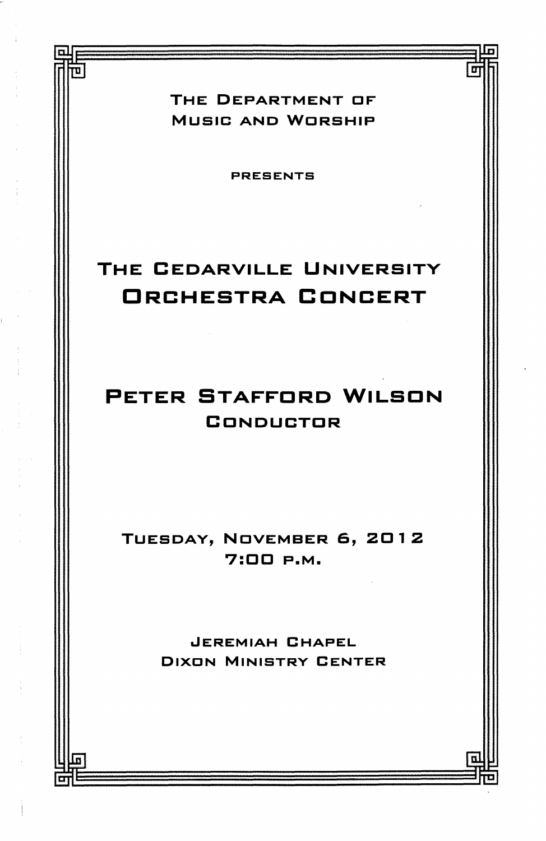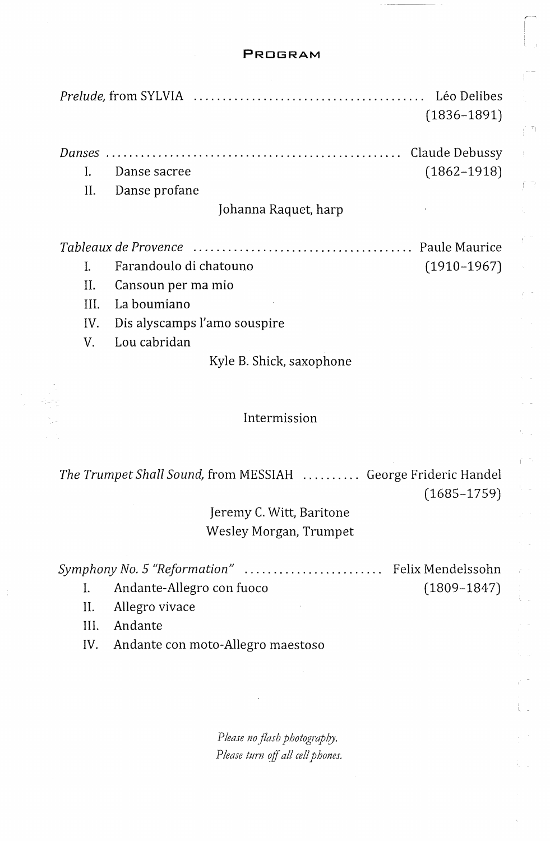### **PROGRAM**

a in

r m

t.

|                          | Léo Delibes<br>$(1836 - 1891)$            |  |  |
|--------------------------|-------------------------------------------|--|--|
| Danses                   | Claude Debussy                            |  |  |
| L                        | $(1862 - 1918)$<br>Danse sacree           |  |  |
| Н.                       | Danse profane                             |  |  |
| Johanna Raquet, harp     |                                           |  |  |
|                          | Paule Maurice                             |  |  |
|                          | Farandoulo di chatouno<br>$(1910 - 1967)$ |  |  |
| H.                       | Cansoun per ma mio                        |  |  |
| HL.                      | La boumiano                               |  |  |
| IV.                      | Dis alyscamps l'amo souspire              |  |  |
| V.                       | Lou cabridan                              |  |  |
| Kyle B. Shick, saxophone |                                           |  |  |

### Intermission

*The Trumpet Shall Sound,* from MESSIAH . . . . . . . . . . George Frideric Handel (1685-1759)

> Jeremy C. Witt, Baritone Wesley Morgan, Trumpet

| Symphony No. 5 "Reformation"  Felix Mendelssohn |                           |                 |
|-------------------------------------------------|---------------------------|-----------------|
|                                                 | Andante-Allegro con fuoco | $(1809 - 1847)$ |
|                                                 | Allaman sissana           |                 |

II. Allegro vivace

Ill. Andante

hung<br>S

IV. Andante con moto-Allegro maestoso

Please no flash photography. *Please turn off all cell phones.*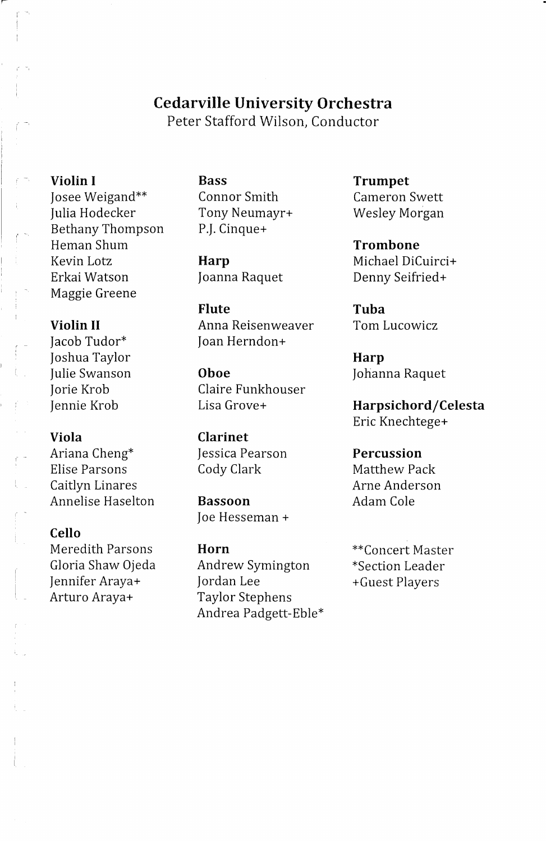## **Cedarville University Orchestra**

Peter Stafford Wilson, Conductor

Josee Weigand\*\* Connor Smith Cameron Swett Julia Hodecker Tony Neumayr+ Wesley Morgan Bethany Thompson P.J. Cinque+ Heman Shum **Trombone**  Kevin Lotz **Harp** Michael DiCuirci+ Erkai Watson Joanna Raquet Denny Seifried+ Maggie Greene

Joshua Taylor **Harp** 

Ariana Cheng\* Jessica Pearson **Percussion**  Elise Parsons **Cody Clark** Matthew Pack Caitlyn Linares **Arne** Arne Anderson Annelise Haselton **Bassoon Adam Cole** 

### **Cello**

Arturo Araya+ Taylor Stephens

**Flute Tuba Violin II Anna Reisenweaver Tom Lucowicz** Jacob Tudor\* Joan Herndon+

Julie Swanson **Oboe** Johanna Raquet Jorie Krob Claire Funkhouser

**Viola Clarinet** 

Joe Hesseman +

Meredith Parsons **Horn** \*\*Concert Master Gloria Shaw Ojeda Andrew Symington \*Section Leader Jennifer Araya+ Jordan Lee + Guest Players Andrea Padgett-Eble\*

**Violin I Bass Trumpet** 

Jennie Krob Lisa Grove+ **Harpsichord/Celesta**  Eric Knechtege+